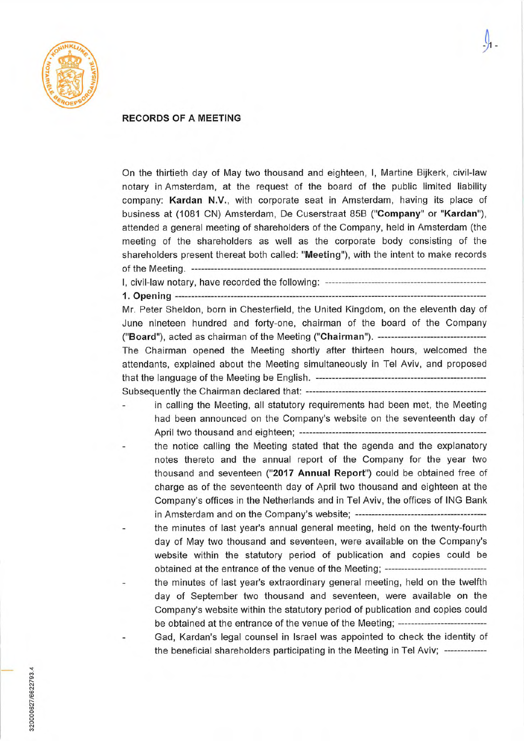

## **RECORDS OF A MEETING**

On the thirtieth day of May two thousand and eighteen, 1, Martine Bijkerk, civil-law notary in Amsterdam, at the request of the board of the public limited liability company: Kardan N.V., with corporate seat in Amsterdam, having its place of business at (1081 CN) Amsterdam, De Cuserstraat 85B **("Company" or "Kardan"),**  attended a general meeting of shareholders of the Company, held in Amsterdam (the meeting of the shareholders as well as the corporate body consisting of the shareholders present thereat both called: **"Meeting"),** with the intent to make records ofthe Meeting . ------------------------------------------------------------------------------------------ 1, civil-law notary, have recorded the following: ------------------------------------------------- 1. Opening -------------------------------------------------------- --------------------------------------- Mr. Peter Sheldon, bom in Chesterfield, the United Kingdom, on the eleventh day of June nineteen hundred and forty-one, chairman of the board of the Company ("Board"), acted as chairman of the Meeting ("Chairman"). --------------------------------- The Chairman opened the Meeting shortly after thirteen hours, welcomed the attendants, explained about the Meeting simultaneously in Tel Aviv, and proposed that the language of the Meeting be English. ---------------------------------------------------- Subsequently the Chairman declared that: ------------------------------------------------------ in calling the Meeting, all statutory requirements had been met, the Meeting had been announced on the Company's website on the seventeenth day of April two thousand and eighteen; -------------------------------------------------------- the notice calling the Meeting stated that the agenda and the explanatory notes thereto and the annual report of the Company for the year two thousand and seventeen ("2017 Annual Report") could be obtained free of charge as of the seventeenth day of April two thousand and eighteen at the Company's offices in the Netherlands and in Tel Aviv, the offices of ING Bank

in Amsterdam and on the Company's website; --------------------------------------- the minutes of last year's annual general meeting, held on the twenty-fourth

day of May two thousand and seventeen, were available on the Company's website within the statutory period of publication and copies could be obtained at the entrance of the venue of the Meeting; -------------------------------

the minutes of last year's extraordinary general meeting, held on the twelfth day of September two thousand and seventeen, were available on the Company's website within the statutory period of publication and copies could be obtained at the entrance of the venue of the Meeting; ------------------------------

- Gad, Kardan's legal counsel in lsrael was appointed to check the identity of the beneficial shareholders participating in the Meeting in Tel Aviv; -------------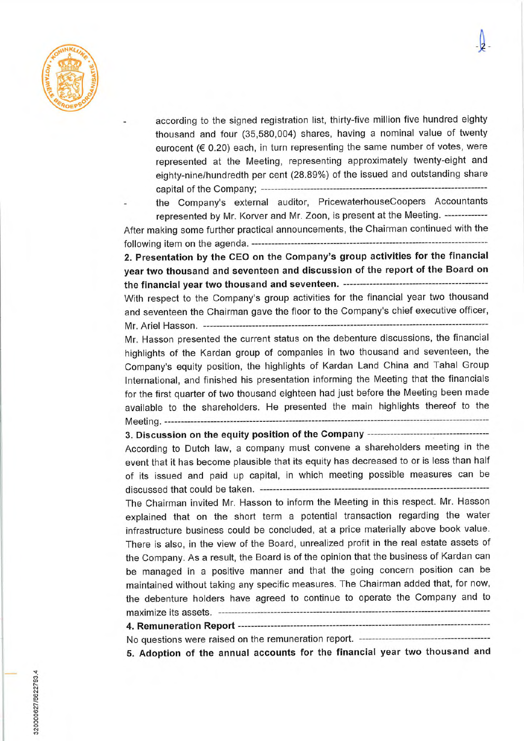

according to the signed registration list, thirty-five million five hundred eighty thousand and four (35,580,004) shares, having a nominal value of twenty eurocent ( $60.20$ ) each, in turn representing the same number of votes, were represented af the Meeting, representing approximately twenty-eight and eighty-nine/hundredth per cent (28.89%) of the issued and outstanding share capital of the Company; ---------------------------------------------------------------------

- the Company's external auditor, PricewaterhouseCoopers Accountants represented by Mr. Korver and Mr. Zoon, is present af the Meeting. -------------

After making some further practical announcements, the Chairman continued with the following item on the agenda.

2.Presentation by the CEO on the Company's group activities for the financial year two thousand and seventeen and discussion of the report of the Board on the financial year two thousand and seventeen. --------------------------------------------

With respect to the Company's group activities for the financial year two thousand and seventeen the Chairman gave the floor to the Company's chief executive officer, Mr. Ariel Hasson . \_\_\_\_\_\_\_\_\_\_\_\_\_\_\_\_\_\_\_\_\_\_\_\_\_\_\_\_\_\_\_\_\_\_\_\_\_\_\_\_\_\_\_\_\_\_\_\_\_\_\_\_\_\_\_\_\_\_\_\_\_\_\_\_\_\_\_\_\_\_\_\_\_\_\_\_\_\_\_\_\_\_\_\_\_\_\_

Mr. Hasson presented the current status on the debenture discussions, the financial highlights of the Kardan group of companies in two thousand and seventeen, the Company's equity position, the highlights of Kardan Land China and Tahal Group International, and finished his presentation informing the Meeting that the financials for the first quarter of two thousand eighteen had just before the Meeting been made available to the shareholders. He presented the main highlights thereof to the Meeting.

**3. Discussion on** the equity position of the Company ------------------ ------------------- According to Dutch law, a company must convene a shareholders meeting in the event that it has become plausible that its equity has decreased to or is less than half of its issued and paid up capital, in which meeting possible measures can be discussed that could be taken. ----------------------------------------------------------------------

The Chairman invited Mr. Hasson to inform the Meeting in this respect. Mr. Hasson explained that on the short term a potential transaction regarding the water infrastructure business could be concluded, **af** a price materially above book value. There is also, in the view of the Board, unrealized profit in the real estate assets of the Company. As a result, the Board is of the opinion that the business of Kardan can be managed in a positive manner and that the going concern position can be maintained without taking any specific measures. The Chairman added that, for now, the debenture holders have agreed to continue to operate the Company and to maximize its assets.

## 4. Remuneration Report

No questions were raised on the remuneration report. ------- ---------------------------------

5. Adoption of the annual accounts for the financial year two thousand and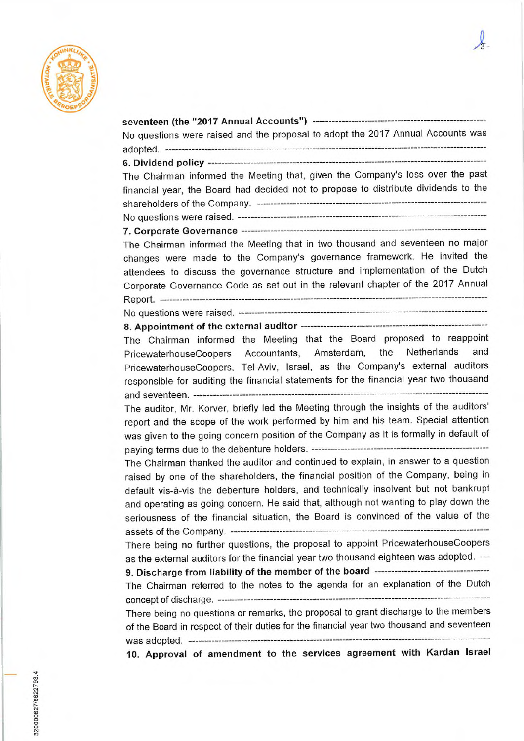

| No questions were raised and the proposal to adopt the 2017 Annual Accounts was                                                                                                                                                                                                                                                                        |
|--------------------------------------------------------------------------------------------------------------------------------------------------------------------------------------------------------------------------------------------------------------------------------------------------------------------------------------------------------|
|                                                                                                                                                                                                                                                                                                                                                        |
| The Chairman informed the Meeting that, given the Company's loss over the past<br>financial year, the Board had decided not to propose to distribute dividends to the                                                                                                                                                                                  |
|                                                                                                                                                                                                                                                                                                                                                        |
| The Chairman informed the Meeting that in two thousand and seventeen no major<br>changes were made to the Company's governance framework. He invited the<br>attendees to discuss the governance structure and implementation of the Dutch<br>Corporate Governance Code as set out in the relevant chapter of the 2017 Annual                           |
|                                                                                                                                                                                                                                                                                                                                                        |
|                                                                                                                                                                                                                                                                                                                                                        |
|                                                                                                                                                                                                                                                                                                                                                        |
| The Chairman informed the Meeting that the Board proposed to reappoint                                                                                                                                                                                                                                                                                 |
| PricewaterhouseCoopers Accountants, Amsterdam, the Netherlands<br>and                                                                                                                                                                                                                                                                                  |
| PricewaterhouseCoopers, Tel-Aviv, Israel, as the Company's external auditors                                                                                                                                                                                                                                                                           |
| responsible for auditing the financial statements for the financial year two thousand                                                                                                                                                                                                                                                                  |
| The auditor, Mr. Korver, briefly led the Meeting through the insights of the auditors'                                                                                                                                                                                                                                                                 |
| report and the scope of the work performed by him and his team. Special attention<br>was given to the going concern position of the Company as it is formally in default of                                                                                                                                                                            |
| The Chairman thanked the auditor and continued to explain, in answer to a question<br>raised by one of the shareholders, the financial position of the Company, being in<br>default vis-à-vis the debenture holders, and technically insolvent but not bankrupt<br>and operating as going concern. He said that, although not wanting to play down the |
| seriousness of the financial situation, the Board is convinced of the value of the                                                                                                                                                                                                                                                                     |
| There being no further questions, the proposal to appoint PricewaterhouseCoopers<br>as the external auditors for the financial year two thousand eighteen was adopted. ---                                                                                                                                                                             |
| 9. Discharge from liability of the member of the board ---------------------------------                                                                                                                                                                                                                                                               |
| The Chairman referred to the notes to the agenda for an explanation of the Dutch                                                                                                                                                                                                                                                                       |
| There being no questions or remarks, the proposal to grant discharge to the members                                                                                                                                                                                                                                                                    |
| of the Board in respect of their duties for the financial year two thousand and seventeen                                                                                                                                                                                                                                                              |
| 10. Approval of amendment to the services agreement with Kardan Israel                                                                                                                                                                                                                                                                                 |
|                                                                                                                                                                                                                                                                                                                                                        |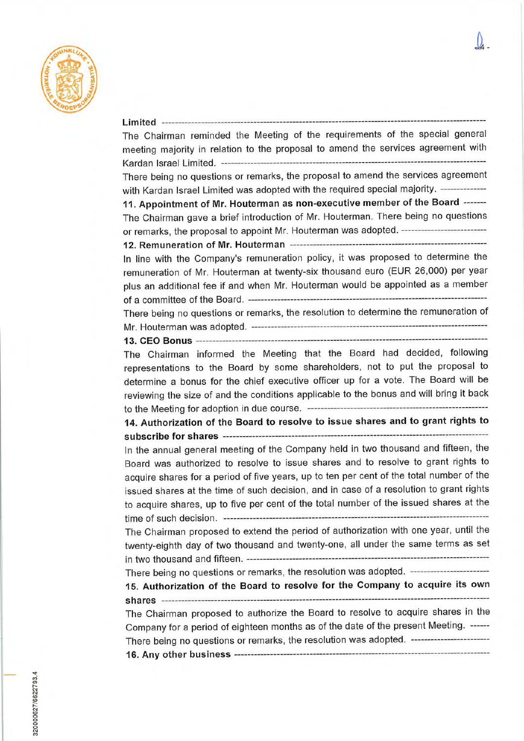

| The Chairman reminded the Meeting of the requirements of the special general              |
|-------------------------------------------------------------------------------------------|
| meeting majority in relation to the proposal to amend the services agreement with         |
|                                                                                           |
| There being no questions or remarks, the proposal to amend the services agreement         |
| with Kardan Israel Limited was adopted with the required special majority. -------------- |
| 11. Appointment of Mr. Houterman as non-executive member of the Board -------             |
| The Chairman gave a brief introduction of Mr. Houterman. There being no questions         |
| or remarks, the proposal to appoint Mr. Houterman was adopted. ------------------------   |
|                                                                                           |
| In line with the Company's remuneration policy, it was proposed to determine the          |
| remuneration of Mr. Houterman at twenty-six thousand euro (EUR 26,000) per year           |
| plus an additional fee if and when Mr. Houterman would be appointed as a member           |
|                                                                                           |
| There being no questions or remarks, the resolution to determine the remuneration of      |
|                                                                                           |
|                                                                                           |
| The Chairman informed the Meeting that the Board had decided, following                   |
| representations to the Board by some shareholders, not to put the proposal to             |
| determine a bonus for the chief executive officer up for a vote. The Board will be        |
| reviewing the size of and the conditions applicable to the bonus and will bring it back   |
|                                                                                           |
| 14. Authorization of the Board to resolve to issue shares and to grant rights to          |
|                                                                                           |
| In the annual general meeting of the Company held in two thousand and fifteen, the        |
| Board was authorized to resolve to issue shares and to resolve to grant rights to         |
| acquire shares for a period of five years, up to ten per cent of the total number of the  |
| issued shares at the time of such decision, and in case of a resolution to grant rights   |
| to acquire shares, up to five per cent of the total number of the issued shares at the    |
|                                                                                           |
| The Chairman proposed to extend the period of authorization with one year, until the      |
| twenty-eighth day of two thousand and twenty-one, all under the same terms as set         |
|                                                                                           |
| There being no questions or remarks, the resolution was adopted. -----------------------  |
| 15. Authorization of the Board to resolve for the Company to acquire its own              |
|                                                                                           |
| The Chairman proposed to authorize the Board to resolve to acquire shares in the          |
| Company for a period of eighteen months as of the date of the present Meeting. ------     |
| There being no questions or remarks, the resolution was adopted. -----------------------  |
|                                                                                           |
|                                                                                           |